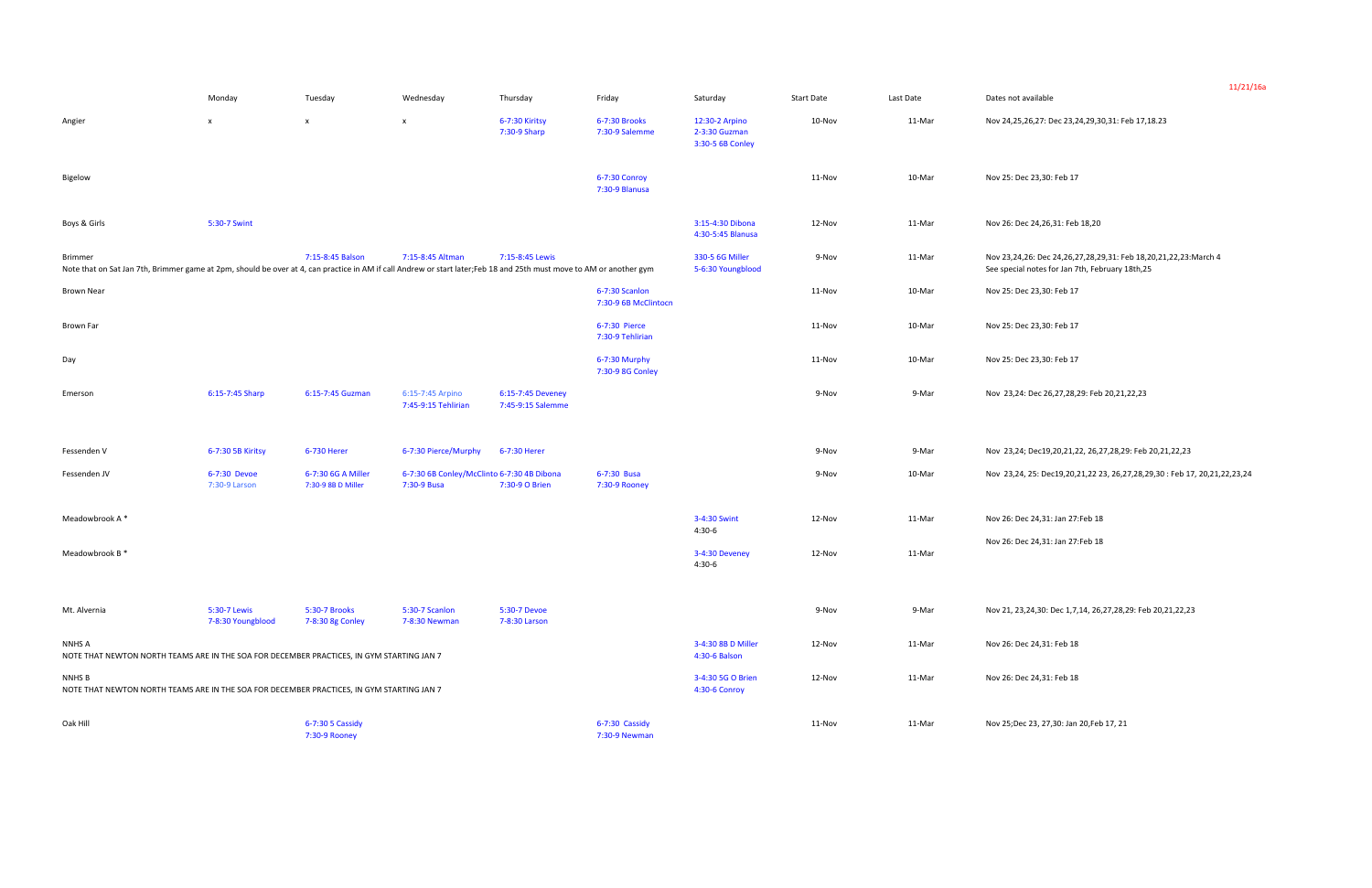11/21/16a

24,25,26,27: Dec 23,24,29,30,31: Feb 17,18.23

23,24,26: Dec 24,26,27,28,29,31: Feb 18,20,21,22,23:March 4 pecial notes for Jan 7th, February 18th,25

6:15‐7:45 Sharp 6:15‐7:45 Guzman 6:15‐7:45 Arpino 6:15‐7:45 Deveney 9‐Nov 9‐Mar Nov 23,24: Dec 26,27,28,29: Feb 20,21,22,23

|                                                                                                                                                                                       | Monday                            | Tuesday                                  | Wednesday                                                 | Thursday                               | Friday                                 | Saturday                                            | Start Date | Last Date | Dates not available                                                  |
|---------------------------------------------------------------------------------------------------------------------------------------------------------------------------------------|-----------------------------------|------------------------------------------|-----------------------------------------------------------|----------------------------------------|----------------------------------------|-----------------------------------------------------|------------|-----------|----------------------------------------------------------------------|
| Angier                                                                                                                                                                                | $\mathsf{x}$                      | $\mathsf{x}$                             | $\pmb{\times}$                                            | 6-7:30 Kiritsy<br>7:30-9 Sharp         | 6-7:30 Brooks<br>7:30-9 Salemme        | 12:30-2 Arpino<br>2-3:30 Guzman<br>3:30-5 6B Conley | 10-Nov     | 11-Mar    | Nov 24,25,26,27: Dec 23,24,29,3                                      |
| Bigelow                                                                                                                                                                               |                                   |                                          |                                                           |                                        | 6-7:30 Conroy<br>7:30-9 Blanusa        |                                                     | 11-Nov     | 10-Mar    | Nov 25: Dec 23,30: Feb 17                                            |
| Boys & Girls                                                                                                                                                                          | 5:30-7 Swint                      |                                          |                                                           |                                        |                                        | 3:15-4:30 Dibona<br>4:30-5:45 Blanusa               | 12-Nov     | 11-Mar    | Nov 26: Dec 24,26,31: Feb 18,20                                      |
| <b>Brimmer</b><br>Note that on Sat Jan 7th, Brimmer game at 2pm, should be over at 4, can practice in AM if call Andrew or start later;Feb 18 and 25th must move to AM or another gym |                                   | 7:15-8:45 Balson                         | 7:15-8:45 Altman                                          | 7:15-8:45 Lewis                        |                                        | 330-5 6G Miller<br>5-6:30 Youngblood                | 9-Nov      | 11-Mar    | Nov 23,24,26: Dec 24,26,27,28,2<br>See special notes for Jan 7th, Fe |
| Brown Near                                                                                                                                                                            |                                   |                                          |                                                           |                                        | 6-7:30 Scanlon<br>7:30-9 6B McClintocn |                                                     | 11-Nov     | 10-Mar    | Nov 25: Dec 23,30: Feb 17                                            |
| Brown Far                                                                                                                                                                             |                                   |                                          |                                                           |                                        | 6-7:30 Pierce<br>7:30-9 Tehlirian      |                                                     | 11-Nov     | 10-Mar    | Nov 25: Dec 23,30: Feb 17                                            |
| Day                                                                                                                                                                                   |                                   |                                          |                                                           |                                        | 6-7:30 Murphy<br>7:30-9 8G Conley      |                                                     | 11-Nov     | 10-Mar    | Nov 25: Dec 23,30: Feb 17                                            |
| Emerson                                                                                                                                                                               | 6:15-7:45 Sharp                   | 6:15-7:45 Guzman                         | 6:15-7:45 Arpino<br>7:45-9:15 Tehlirian                   | 6:15-7:45 Deveney<br>7:45-9:15 Salemme |                                        |                                                     | 9-Nov      | 9-Mar     | Nov 23,24: Dec 26,27,28,29: Fel                                      |
| Fessenden V                                                                                                                                                                           | 6-7:30 5B Kiritsy                 | 6-730 Herer                              | 6-7:30 Pierce/Murphy                                      | 6-7:30 Herer                           |                                        |                                                     | 9-Nov      | 9-Mar     | Nov 23,24; Dec19,20,21,22, 26,                                       |
| Fessenden JV                                                                                                                                                                          | 6-7:30 Devoe<br>7:30-9 Larson     | 6-7:30 6G A Miller<br>7:30-9 8B D Miller | 6-7:30 6B Conley/McClinto 6-7:30 4B Dibona<br>7:30-9 Busa | 7:30-9 O Brien                         | 6-7:30 Busa<br>7:30-9 Rooney           |                                                     | 9-Nov      | 10-Mar    | Nov 23,24, 25: Dec19,20,21,22                                        |
| Meadowbrook A*                                                                                                                                                                        |                                   |                                          |                                                           |                                        |                                        | 3-4:30 Swint<br>$4:30-6$                            | 12-Nov     | 11-Mar    | Nov 26: Dec 24,31: Jan 27:Feb 1                                      |
| Meadowbrook B *                                                                                                                                                                       |                                   |                                          |                                                           |                                        |                                        | 3-4:30 Deveney<br>$4:30-6$                          | 12-Nov     | 11-Mar    | Nov 26: Dec 24,31: Jan 27:Feb 1                                      |
| Mt. Alvernia                                                                                                                                                                          | 5:30-7 Lewis<br>7-8:30 Youngblood | 5:30-7 Brooks<br>7-8:30 8g Conley        | 5:30-7 Scanlon<br>7-8:30 Newman                           | 5:30-7 Devoe<br>7-8:30 Larson          |                                        |                                                     | 9-Nov      | 9-Mar     | Nov 21, 23,24,30: Dec 1,7,14, 26                                     |
| NNHS A<br>NOTE THAT NEWTON NORTH TEAMS ARE IN THE SOA FOR DECEMBER PRACTICES, IN GYM STARTING JAN 7                                                                                   |                                   | 3-4:30 8B D Miller<br>4:30-6 Balson      | 12-Nov                                                    | 11-Mar                                 | Nov 26: Dec 24,31: Feb 18              |                                                     |            |           |                                                                      |
| NNHS B<br>NOTE THAT NEWTON NORTH TEAMS ARE IN THE SOA FOR DECEMBER PRACTICES, IN GYM STARTING JAN 7                                                                                   |                                   |                                          | 3-4:30 5G O Brien<br>4:30-6 Conroy                        | 12-Nov                                 | 11-Mar                                 | Nov 26: Dec 24,31: Feb 18                           |            |           |                                                                      |
| Oak Hill                                                                                                                                                                              |                                   | 6-7:30 5 Cassidy<br>7:30-9 Rooney        |                                                           |                                        | 6-7:30 Cassidy<br>7:30-9 Newman        |                                                     | 11-Nov     | 11-Mar    | Nov 25;Dec 23, 27,30: Jan 20,Fe                                      |

6‐7:30 5B Kiritsy 6‐730 Herer 6‐7:30 Pierce/Murphy 6‐7:30 Herer 9‐Nov 9‐Mar Nov 23,24; Dec19,20,21,22, 26,27,28,29: Feb 20,21,22,23

23,24, 25: Dec19,20,21,22 23, 26,27,28,29,30 : Feb 17, 20,21,22,23,24

26: Dec 24,31: Jan 27:Feb 18

26: Dec 24,31: Jan 27:Feb 18

21, 23,24,30: Dec 1,7,14, 26,27,28,29: Feb 20,21,22,23

25;Dec 23, 27,30: Jan 20,Feb 17, 21